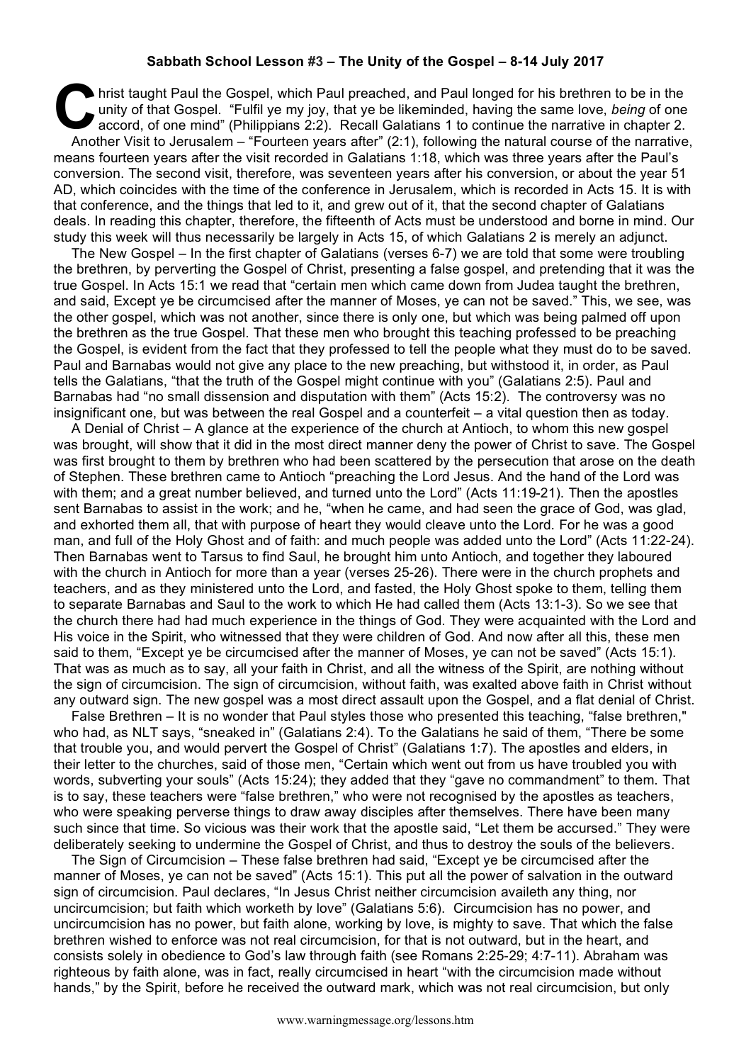## **Sabbath School Lesson #3 – The Unity of the Gospel – 8-14 July 2017**

hrist taught Paul the Gospel, which Paul preached, and Paul longed for his brethren to be in the unity of that Gospel. "Fulfil ye my joy, that ye be likeminded, having the same love, being of one accord, of one mind" (Phil unity of that Gospel. "Fulfil ye my joy, that ye be likeminded, having the same love, *being* of one accord, of one mind" (Philippians 2:2). Recall Galatians 1 to continue the narrative in chapter 2. Another Visit to Jerusalem – "Fourteen years after" (2:1), following the natural course of the narrative, means fourteen years after the visit recorded in Galatians 1:18, which was three years after the Paul's conversion. The second visit, therefore, was seventeen years after his conversion, or about the year 51 AD, which coincides with the time of the conference in Jerusalem, which is recorded in Acts 15. It is with that conference, and the things that led to it, and grew out of it, that the second chapter of Galatians deals. In reading this chapter, therefore, the fifteenth of Acts must be understood and borne in mind. Our study this week will thus necessarily be largely in Acts 15, of which Galatians 2 is merely an adjunct.

The New Gospel – In the first chapter of Galatians (verses 6-7) we are told that some were troubling the brethren, by perverting the Gospel of Christ, presenting a false gospel, and pretending that it was the true Gospel. In Acts 15:1 we read that "certain men which came down from Judea taught the brethren, and said, Except ye be circumcised after the manner of Moses, ye can not be saved." This, we see, was the other gospel, which was not another, since there is only one, but which was being palmed off upon the brethren as the true Gospel. That these men who brought this teaching professed to be preaching the Gospel, is evident from the fact that they professed to tell the people what they must do to be saved. Paul and Barnabas would not give any place to the new preaching, but withstood it, in order, as Paul tells the Galatians, "that the truth of the Gospel might continue with you" (Galatians 2:5). Paul and Barnabas had "no small dissension and disputation with them" (Acts 15:2). The controversy was no insignificant one, but was between the real Gospel and a counterfeit – a vital question then as today.

A Denial of Christ – A glance at the experience of the church at Antioch, to whom this new gospel was brought, will show that it did in the most direct manner deny the power of Christ to save. The Gospel was first brought to them by brethren who had been scattered by the persecution that arose on the death of Stephen. These brethren came to Antioch "preaching the Lord Jesus. And the hand of the Lord was with them; and a great number believed, and turned unto the Lord" (Acts 11:19-21). Then the apostles sent Barnabas to assist in the work; and he, "when he came, and had seen the grace of God, was glad, and exhorted them all, that with purpose of heart they would cleave unto the Lord. For he was a good man, and full of the Holy Ghost and of faith: and much people was added unto the Lord" (Acts 11:22-24). Then Barnabas went to Tarsus to find Saul, he brought him unto Antioch, and together they laboured with the church in Antioch for more than a year (verses 25-26). There were in the church prophets and teachers, and as they ministered unto the Lord, and fasted, the Holy Ghost spoke to them, telling them to separate Barnabas and Saul to the work to which He had called them (Acts 13:1-3). So we see that the church there had had much experience in the things of God. They were acquainted with the Lord and His voice in the Spirit, who witnessed that they were children of God. And now after all this, these men said to them, "Except ye be circumcised after the manner of Moses, ye can not be saved" (Acts 15:1). That was as much as to say, all your faith in Christ, and all the witness of the Spirit, are nothing without the sign of circumcision. The sign of circumcision, without faith, was exalted above faith in Christ without any outward sign. The new gospel was a most direct assault upon the Gospel, and a flat denial of Christ.

False Brethren – It is no wonder that Paul styles those who presented this teaching, "false brethren," who had, as NLT says, "sneaked in" (Galatians 2:4). To the Galatians he said of them, "There be some that trouble you, and would pervert the Gospel of Christ" (Galatians 1:7). The apostles and elders, in their letter to the churches, said of those men, "Certain which went out from us have troubled you with words, subverting your souls" (Acts 15:24); they added that they "gave no commandment" to them. That is to say, these teachers were "false brethren," who were not recognised by the apostles as teachers, who were speaking perverse things to draw away disciples after themselves. There have been many such since that time. So vicious was their work that the apostle said, "Let them be accursed." They were deliberately seeking to undermine the Gospel of Christ, and thus to destroy the souls of the believers.

The Sign of Circumcision – These false brethren had said, "Except ye be circumcised after the manner of Moses, ye can not be saved" (Acts 15:1). This put all the power of salvation in the outward sign of circumcision. Paul declares, "In Jesus Christ neither circumcision availeth any thing, nor uncircumcision; but faith which worketh by love" (Galatians 5:6). Circumcision has no power, and uncircumcision has no power, but faith alone, working by love, is mighty to save. That which the false brethren wished to enforce was not real circumcision, for that is not outward, but in the heart, and consists solely in obedience to God's law through faith (see Romans 2:25-29; 4:7-11). Abraham was righteous by faith alone, was in fact, really circumcised in heart "with the circumcision made without hands," by the Spirit, before he received the outward mark, which was not real circumcision, but only